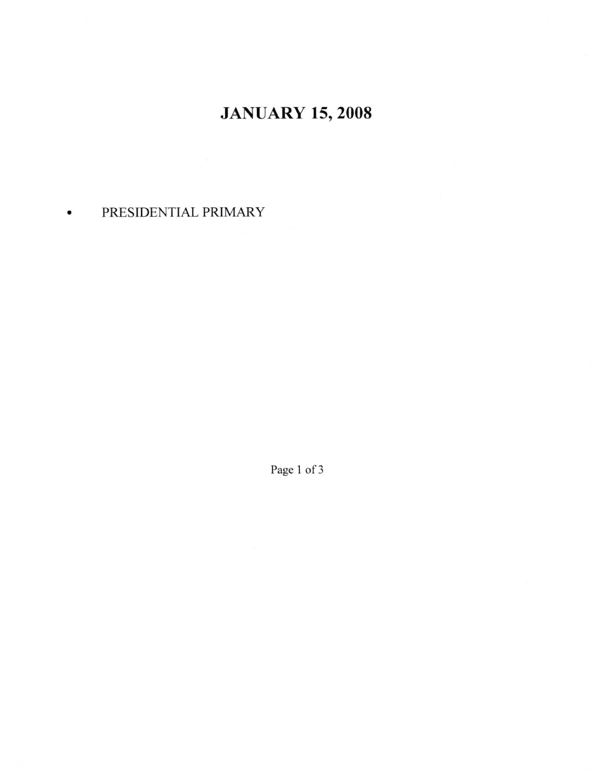## JANUARY 15,2008

## PRESIDENTIAL PRIMARY  $\bullet$

Page 1 of 3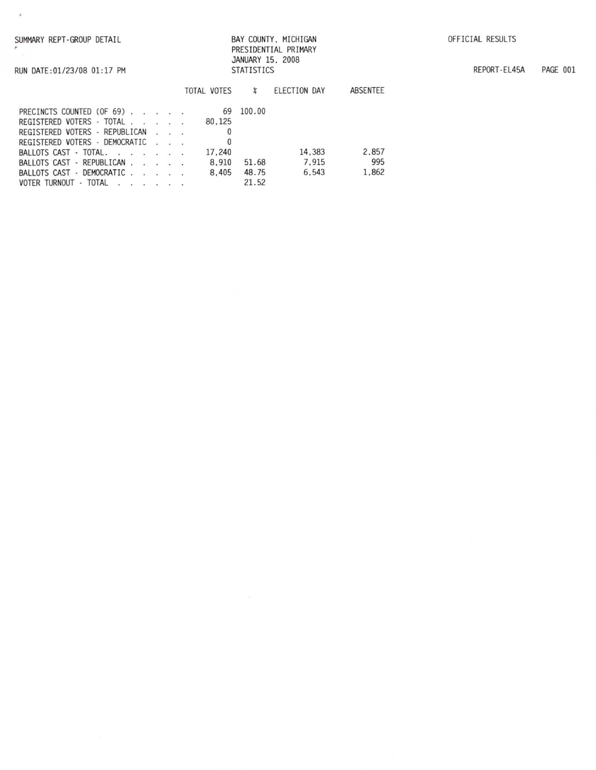RUN DATE: 01/23/08 01:17 PM

 $\bar{s}$ 

## BAY COUNTY, MICHIGAN PRESIDENTIAL PRIMARY JANUARY 15, 2008 **STATISTICS**

REPORT-EL45A PAGE 001

|                                 |  | TOTAL VOTES |        | ELECTION DAY | ABSENTEE |
|---------------------------------|--|-------------|--------|--------------|----------|
| PRECINCTS COUNTED (OF 69).      |  | 69          | 100.00 |              |          |
| REGISTERED VOTERS - TOTAL       |  | 80.125      |        |              |          |
| REGISTERED VOTERS - REPUBLICAN  |  |             |        |              |          |
| REGISTERED VOTERS - DEMOCRATIC  |  |             |        |              |          |
| BALLOTS CAST - TOTAL.           |  | 17.240      |        | 14,383       | 2.857    |
| BALLOTS CAST - REPUBLICAN       |  | 8.910       | 51.68  | 7.915        | 995      |
| BALLOTS CAST - DEMOCRATIC       |  | 8.405       | 48.75  | 6.543        | 1.862    |
| - TOTAL<br><b>VOTER TURNOUT</b> |  |             | 21.52  |              |          |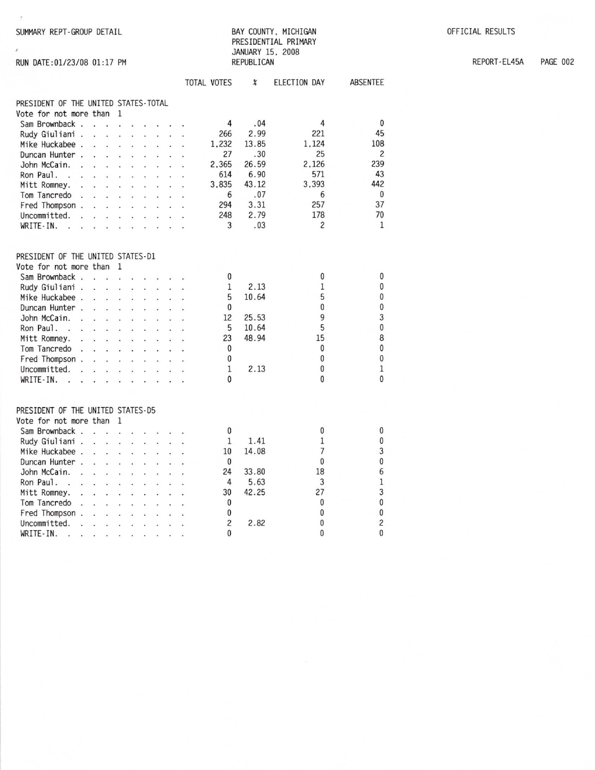SUMMARY REPT-GROUP DETAIL

RUN DATE:01/23/08 01:17 PM

 $\lambda$ 

## BAY COUNTY, MICHIGAN PRESIDENTIAL PRIMARY JANUARY 15, 2008 REPUBLICAN

**PAGE 002** REPORT-EL45A

|                                                                                                                                                                | <b>TOTAL VOTES</b> | $\chi$ | ELECTION DAY   | <b>ABSENTEE</b> |
|----------------------------------------------------------------------------------------------------------------------------------------------------------------|--------------------|--------|----------------|-----------------|
| PRESIDENT OF THE UNITED STATES-TOTAL                                                                                                                           |                    |        |                |                 |
| Vote for not more than<br>-1                                                                                                                                   |                    |        |                |                 |
| Sam Brownback                                                                                                                                                  | 4                  | .04    | 4              | 0               |
| Rudy Giuliani.<br>$\cdot$ $\cdot$<br>$\sim$ $\sim$ $\sim$<br>$\ddot{\phantom{a}}$                                                                              | 266                | 2.99   | 221            | 45              |
| Mike Huckabee.<br>$\ddot{\phantom{a}}$<br>$\ddot{\phantom{0}}$<br>$\ddot{\phantom{0}}$<br>$\ddot{\phantom{0}}$<br>$\ddot{\phantom{a}}$<br>$\ddot{\phantom{a}}$ | 1,232              | 13.85  | 1.124          | 108             |
| Duncan Hunter.                                                                                                                                                 | 27                 | .30    | 25             | $\overline{c}$  |
| John McCain.<br>$\cdot$<br>$\ddot{\phantom{a}}$<br>$\mathbb{Z}^{\mathbb{Z}}$                                                                                   | 2,365              | 26.59  | 2,126          | 239             |
| Ron Paul.<br>$\sim$ $\sim$                                                                                                                                     | 614                | 6.90   | 571            | 43              |
| Mitt Romney.<br>$\overline{a}$<br>$\mathcal{L}$<br>$\sim$                                                                                                      | 3,835              | 43.12  | 3,393          | 442             |
| Tom Tancredo.<br>$\ddot{\phantom{0}}$<br>÷<br>$\mathbf{r}$<br>¥.<br>¥.<br>V.                                                                                   | 6                  | .07    | 6              | 0               |
| Fred Thompson .                                                                                                                                                | 294                | 3.31   | 257            | 37              |
| Uncommitted.<br>$\sim$<br>$\cdot$ $\cdot$ $\cdot$<br>$\sim$<br>$\overline{a}$<br>$\mathbf{r}$<br>$\mathbf{r}$                                                  | 248                | 2.79   | 178            | 70              |
| WRITE-IN.<br>$\cdot$ $\cdot$ $\cdot$<br>W.<br>$\ddot{\phantom{0}}$<br>¥.<br>v.                                                                                 | 3                  | .03    | $\overline{c}$ | $\mathbf{1}$    |
|                                                                                                                                                                |                    |        |                |                 |
| PRESIDENT OF THE UNITED STATES-D1                                                                                                                              |                    |        |                |                 |
| Vote for not more than<br>$\mathbf{1}$                                                                                                                         |                    |        |                |                 |
| Sam Brownback<br>Ý.<br>÷.                                                                                                                                      | 0                  |        | 0              | 0               |
| Rudy Giuliani<br>s.<br>$\mathbf{r}$<br>as in                                                                                                                   | 1                  | 2.13   | 1              | $\bf{0}$        |
| Mike Huckabee.<br>$\sim$ $\sim$                                                                                                                                | 5                  | 10.64  | 5              | $\pmb{0}$       |
| Duncan Hunter.<br>l.<br>÷,                                                                                                                                     | 0                  |        | $\mathbf{0}$   | 0               |
| John McCain.<br>$\sim$                                                                                                                                         | 12                 | 25.53  | 9              | 3               |
| Ron Paul.<br>$\sim$                                                                                                                                            | 5                  | 10.64  | 5              | $\pmb{0}$       |
| Mitt Romney.                                                                                                                                                   | 23                 | 48.94  | 15             | 8               |
| Tom Tancredo<br>$\cdots$ $\cdots$<br>ä.                                                                                                                        | 0                  |        | 0              | $\mathbf 0$     |
| Fred Thompson .                                                                                                                                                | 0                  |        | 0              | 0               |
| Uncommitted.                                                                                                                                                   | $\mathbf{1}$       | 2.13   | 0              | $\mathbf{1}$    |
| WRITE-IN.<br>$\sim$                                                                                                                                            | 0                  |        | $\Omega$       | $\overline{0}$  |
|                                                                                                                                                                |                    |        |                |                 |
| PRESIDENT OF THE UNITED STATES-D5<br>Vote for not more than<br><sup>1</sup>                                                                                    |                    |        |                |                 |
| Sam Brownback                                                                                                                                                  | 0                  |        | 0              | 0               |
|                                                                                                                                                                | 1                  | 1.41   | $\mathbf{1}$   | 0               |
| Rudy Giuliani<br>$\cdots$                                                                                                                                      | 10                 | 14.08  | $\overline{7}$ | 3               |
| Mike Huckabee.<br>s.                                                                                                                                           |                    |        | 0              | $\overline{0}$  |
| Duncan Hunter.<br>a.<br>a.<br>t.<br>$\ddot{\phantom{a}}$<br>$\ddot{\phantom{a}}$<br>÷.                                                                         | 0                  |        | 18             | 6               |
| John McCain.<br>$\sim$                                                                                                                                         | 24                 | 33.80  |                |                 |
| Ron Paul.                                                                                                                                                      | 4                  | 5.63   | 3              | $\,1$           |
| Mitt Romney.<br>an i<br>÷.<br>$\ddot{\phantom{a}}$<br>$\ddot{\phantom{a}}$<br>ç.<br>÷<br>$\ddot{\phantom{0}}$                                                  | 30                 | 42.25  | 27             | 3               |
| Tom Tancredo<br>$\ddot{\phantom{a}}$<br>$\sim$                                                                                                                 | 0                  |        | 0              | $\pmb{0}$       |
| Fred Thompson .<br>$\cdots$<br>$\sim$                                                                                                                          | 0                  |        | $\mathbf{0}$   | $\pmb{0}$       |
| Uncommitted.<br>$\mathbf{r}$<br>$\ddot{\phantom{0}}$<br>$\ddot{\phantom{a}}$<br>$\ddot{\phantom{0}}$<br>$\ddot{\phantom{0}}$<br>$\ddot{\phantom{0}}$           | $\overline{c}$     | 2.82   | $\mathbf{0}$   | $\overline{c}$  |
| WRITE-IN.                                                                                                                                                      | $\mathbf{0}$       |        | $\mathbf{0}$   | $\mathbf{0}$    |